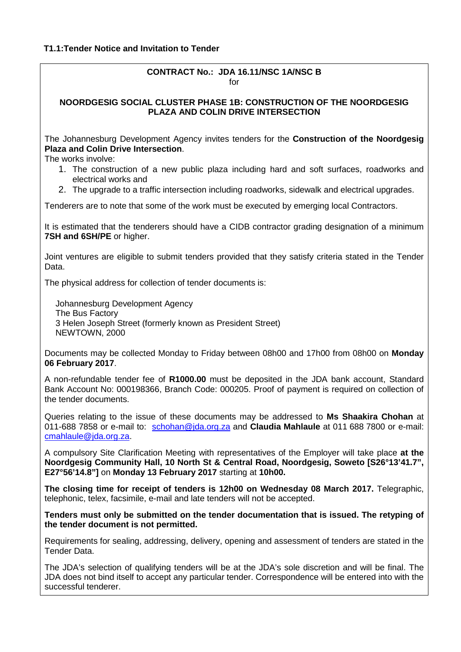## **CONTRACT No.: JDA 16.11/NSC 1A/NSC B**  $for$

## **NOORDGESIG SOCIAL CLUSTER PHASE 1B: CONSTRUCTION OF THE NOORDGESIG PLAZA AND COLIN DRIVE INTERSECTION**

The Johannesburg Development Agency invites tenders for the **Construction of the Noordgesig Plaza and Colin Drive Intersection**.

The works involve:

- 1. The construction of a new public plaza including hard and soft surfaces, roadworks and electrical works and
- 2. The upgrade to a traffic intersection including roadworks, sidewalk and electrical upgrades.

Tenderers are to note that some of the work must be executed by emerging local Contractors.

It is estimated that the tenderers should have a CIDB contractor grading designation of a minimum **7SH and 6SH/PE** or higher.

Joint ventures are eligible to submit tenders provided that they satisfy criteria stated in the Tender Data.

The physical address for collection of tender documents is:

Johannesburg Development Agency The Bus Factory 3 Helen Joseph Street (formerly known as President Street) NEWTOWN, 2000

Documents may be collected Monday to Friday between 08h00 and 17h00 from 08h00 on **Monday 06 February 2017**.

A non-refundable tender fee of **R1000.00** must be deposited in the JDA bank account, Standard Bank Account No: 000198366, Branch Code: 000205. Proof of payment is required on collection of the tender documents.

Queries relating to the issue of these documents may be addressed to **Ms Shaakira Chohan** at 011-688 7858 or e-mail to: schohan@jda.org.za and **Claudia Mahlaule** at 011 688 7800 or e-mail: cmahlaule@jda.org.za.

A compulsory Site Clarification Meeting with representatives of the Employer will take place **at the Noordgesig Community Hall, 10 North St & Central Road, Noordgesig, Soweto [S26°13'41.7", E27°56'14.8"]** on **Monday 13 February 2017** starting at **10h00.**

**The closing time for receipt of tenders is 12h00 on Wednesday 08 March 2017.** Telegraphic, telephonic, telex, facsimile, e-mail and late tenders will not be accepted.

**Tenders must only be submitted on the tender documentation that is issued. The retyping of the tender document is not permitted.**

Requirements for sealing, addressing, delivery, opening and assessment of tenders are stated in the Tender Data.

The JDA's selection of qualifying tenders will be at the JDA's sole discretion and will be final. The JDA does not bind itself to accept any particular tender. Correspondence will be entered into with the successful tenderer.